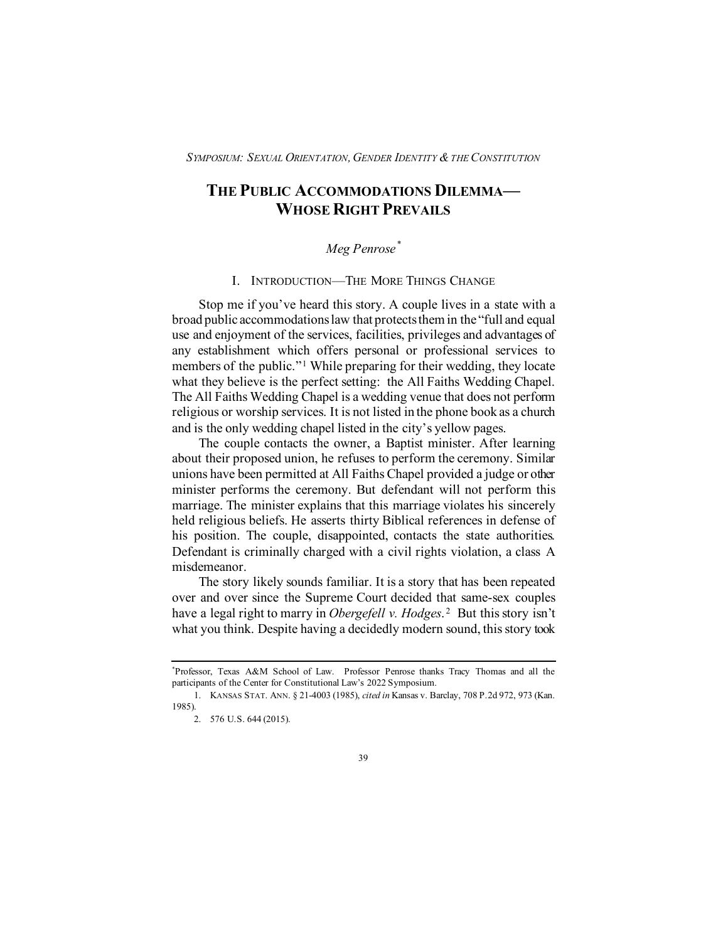# **THE PUBLIC ACCOMMODATIONS DILEMMA— WHOSE RIGHT PREVAILS**

## *Meg Penrose[\\*](#page-0-0)*

I. INTRODUCTION—THE MORE THINGS CHANGE

Stop me if you've heard this story. A couple lives in a state with a broad public accommodations law that protects them in the "full and equal use and enjoyment of the services, facilities, privileges and advantages of any establishment which offers personal or professional services to members of the public."[1](#page-0-1) While preparing for their wedding, they locate what they believe is the perfect setting: the All Faiths Wedding Chapel. The All Faiths Wedding Chapel is a wedding venue that does not perform religious or worship services. It is not listed in the phone book as a church and is the only wedding chapel listed in the city's yellow pages.

The couple contacts the owner, a Baptist minister. After learning about their proposed union, he refuses to perform the ceremony. Similar unions have been permitted at All Faiths Chapel provided a judge or other minister performs the ceremony. But defendant will not perform this marriage. The minister explains that this marriage violates his sincerely held religious beliefs. He asserts thirty Biblical references in defense of his position. The couple, disappointed, contacts the state authorities. Defendant is criminally charged with a civil rights violation, a class A misdemeanor.

The story likely sounds familiar. It is a story that has been repeated over and over since the Supreme Court decided that same-sex couples have a legal right to marry in *Obergefell v. Hodges*.<sup>[2](#page-0-2)</sup> But this story isn't what you think. Despite having a decidedly modern sound, this story took

<span id="page-0-0"></span><sup>\*</sup> Professor, Texas A&M School of Law. Professor Penrose thanks Tracy Thomas and all the participants of the Center for Constitutional Law's 2022 Symposium.

<span id="page-0-2"></span><span id="page-0-1"></span><sup>1.</sup> KANSAS STAT. ANN. § 21-4003 (1985), *cited in* Kansas v. Barclay, 708 P.2d 972, 973 (Kan. 1985).

<sup>2.</sup> 576 U.S. 644 (2015).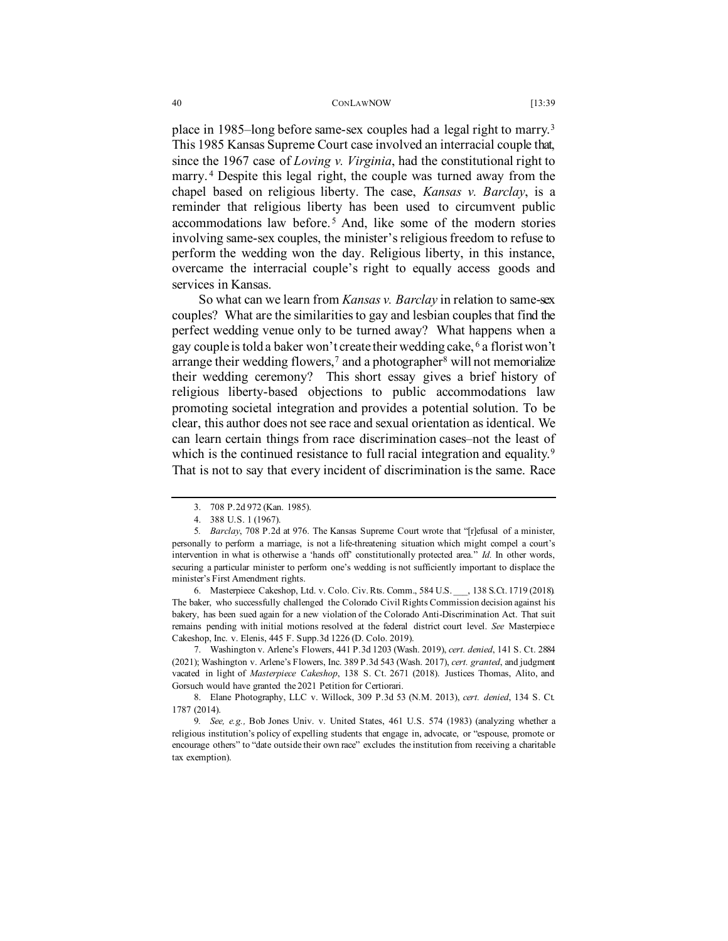place in 1985–long before same-sex couples had a legal right to marry.[3](#page-1-0) This 1985 Kansas Supreme Court case involved an interracial couple that, since the 1967 case of *Loving v. Virginia*, had the constitutional right to marry. [4](#page-1-1) Despite this legal right, the couple was turned away from the chapel based on religious liberty. The case, *Kansas v. Barclay*, is a reminder that religious liberty has been used to circumvent public accommodations law before.<sup>[5](#page-1-2)</sup> And, like some of the modern stories involving same-sex couples, the minister's religious freedom to refuse to perform the wedding won the day. Religious liberty, in this instance, overcame the interracial couple's right to equally access goods and services in Kansas.

So what can we learn from *Kansas v. Barclay* in relation to same-sex couples? What are the similarities to gay and lesbian couples that find the perfect wedding venue only to be turned away? What happens when a gay couple is told a baker won't create their wedding cake, [6](#page-1-3) a florist won't arrange their wedding flowers,<sup>[7](#page-1-4)</sup> and a photographer<sup>[8](#page-1-5)</sup> will not memorialize their wedding ceremony? This short essay gives a brief history of religious liberty-based objections to public accommodations law promoting societal integration and provides a potential solution. To be clear, this author does not see race and sexual orientation as identical. We can learn certain things from race discrimination cases–not the least of which is the continued resistance to full racial integration and equality.<sup>[9](#page-1-6)</sup> That is not to say that every incident of discrimination is the same. Race

<span id="page-1-3"></span>6. Masterpiece Cakeshop, Ltd. v. Colo. Civ. Rts. Comm., 584 U.S. \_\_\_, 138 S.Ct. 1719 (2018). The baker, who successfully challenged the Colorado Civil Rights Commission decision against his bakery, has been sued again for a new violation of the Colorado Anti-Discrimination Act. That suit remains pending with initial motions resolved at the federal district court level. *See* Masterpiece Cakeshop, Inc. v. Elenis, 445 F. Supp.3d 1226 (D. Colo. 2019).

<span id="page-1-4"></span>7. Washington v. Arlene's Flowers, 441 P.3d 1203 (Wash. 2019), *cert. denied*, 141 S. Ct. 2884 (2021); Washington v. Arlene's Flowers, Inc. 389 P.3d 543 (Wash. 2017), *cert. granted*, and judgment vacated in light of *Masterpiece Cakeshop*, 138 S. Ct. 2671 (2018). Justices Thomas, Alito, and Gorsuch would have granted the 2021 Petition for Certiorari.

<span id="page-1-5"></span>8. Elane Photography, LLC v. Willock, 309 P.3d 53 (N.M. 2013), *cert. denied*, 134 S. Ct. 1787 (2014).

<sup>3.</sup> 708 P.2d 972 (Kan. 1985).

<sup>388</sup> U.S. 1 (1967).

<span id="page-1-2"></span><span id="page-1-1"></span><span id="page-1-0"></span><sup>5</sup>*. Barclay*, 708 P.2d at 976. The Kansas Supreme Court wrote that "[r]efusal of a minister, personally to perform a marriage, is not a life-threatening situation which might compel a court's intervention in what is otherwise a 'hands off' constitutionally protected area." *Id.* In other words, securing a particular minister to perform one's wedding is not sufficiently important to displace the minister's First Amendment rights.

<span id="page-1-6"></span><sup>9</sup>*. See, e.g.,* Bob Jones Univ. v. United States, 461 U.S. 574 (1983) (analyzing whether a religious institution's policy of expelling students that engage in, advocate, or "espouse, promote or encourage others" to "date outside their own race" excludes the institution from receiving a charitable tax exemption).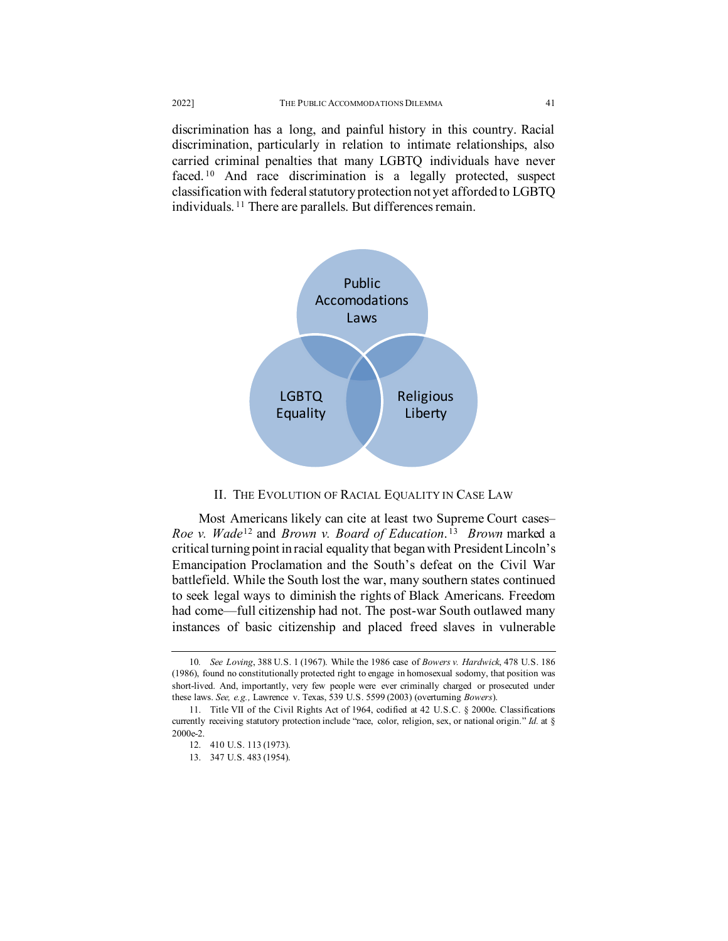discrimination has a long, and painful history in this country. Racial discrimination, particularly in relation to intimate relationships, also carried criminal penalties that many LGBTQ individuals have never faced.<sup>[10](#page-2-0)</sup> And race discrimination is a legally protected, suspect classification with federal statutory protection not yet afforded to LGBTQ individuals. [11](#page-2-1) There are parallels. But differences remain.



#### II. THE EVOLUTION OF RACIAL EQUALITY IN CASE LAW

Most Americans likely can cite at least two Supreme Court cases– *Roe v. Wade*[12](#page-2-2) and *Brown v. Board of Education*. [13](#page-2-3) *Brown* marked a critical turning point in racial equality that began with President Lincoln's Emancipation Proclamation and the South's defeat on the Civil War battlefield. While the South lost the war, many southern states continued to seek legal ways to diminish the rights of Black Americans. Freedom had come—full citizenship had not. The post-war South outlawed many instances of basic citizenship and placed freed slaves in vulnerable

<span id="page-2-0"></span><sup>10</sup>*. See Loving*, 388 U.S. 1 (1967). While the 1986 case of *Bowers v. Hardwick*, 478 U.S. 186 (1986), found no constitutionally protected right to engage in homosexual sodomy, that position was short-lived. And, importantly, very few people were ever criminally charged or prosecuted under these laws. *See, e.g.,* Lawrence v. Texas, 539 U.S. 5599 (2003) (overturning *Bowers*).

<span id="page-2-3"></span><span id="page-2-2"></span><span id="page-2-1"></span><sup>11.</sup> Title VII of the Civil Rights Act of 1964, codified at 42 U.S.C. § 2000e. Classifications currently receiving statutory protection include "race, color, religion, sex, or national origin." *Id.* at § 2000e-2.

<sup>12.</sup> 410 U.S. 113 (1973).

<sup>13.</sup> 347 U.S. 483 (1954).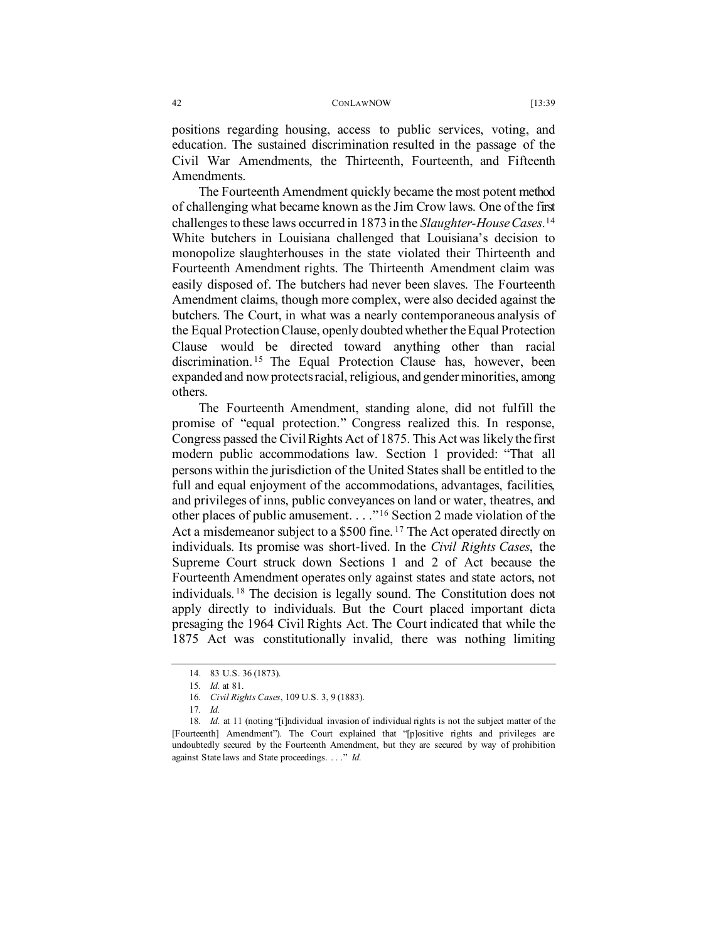positions regarding housing, access to public services, voting, and education. The sustained discrimination resulted in the passage of the Civil War Amendments, the Thirteenth, Fourteenth, and Fifteenth Amendments.

The Fourteenth Amendment quickly became the most potent method of challenging what became known as the Jim Crow laws. One of the first challenges to these laws occurred in 1873 in the *Slaughter-House Cases*. [14](#page-3-0) White butchers in Louisiana challenged that Louisiana's decision to monopolize slaughterhouses in the state violated their Thirteenth and Fourteenth Amendment rights. The Thirteenth Amendment claim was easily disposed of. The butchers had never been slaves. The Fourteenth Amendment claims, though more complex, were also decided against the butchers. The Court, in what was a nearly contemporaneous analysis of the Equal Protection Clause, openly doubted whether the Equal Protection Clause would be directed toward anything other than racial discrimination. [15](#page-3-1) The Equal Protection Clause has, however, been expanded and now protectsracial, religious, and gender minorities, among others.

The Fourteenth Amendment, standing alone, did not fulfill the promise of "equal protection." Congress realized this. In response, Congress passed the Civil Rights Act of 1875. This Act was likely the first modern public accommodations law. Section 1 provided: "That all persons within the jurisdiction of the United States shall be entitled to the full and equal enjoyment of the accommodations, advantages, facilities, and privileges of inns, public conveyances on land or water, theatres, and other places of public amusement. . . ."[16](#page-3-2) Section 2 made violation of the Act a misdemeanor subject to a \$500 fine.<sup>[17](#page-3-3)</sup> The Act operated directly on individuals. Its promise was short-lived. In the *Civil Rights Cases*, the Supreme Court struck down Sections 1 and 2 of Act because the Fourteenth Amendment operates only against states and state actors, not individuals. [18](#page-3-4) The decision is legally sound. The Constitution does not apply directly to individuals. But the Court placed important dicta presaging the 1964 Civil Rights Act. The Court indicated that while the 1875 Act was constitutionally invalid, there was nothing limiting

<sup>14.</sup> 83 U.S. 36 (1873).

<sup>15</sup>*. Id.* at 81.

<sup>16</sup>*. Civil Rights Cases*, 109 U.S. 3, 9 (1883).

<sup>17</sup>*. Id.*

<span id="page-3-4"></span><span id="page-3-3"></span><span id="page-3-2"></span><span id="page-3-1"></span><span id="page-3-0"></span><sup>18</sup>*. Id.* at 11 (noting "[i]ndividual invasion of individual rights is not the subject matter of the [Fourteenth] Amendment"). The Court explained that "[p]ositive rights and privileges are undoubtedly secured by the Fourteenth Amendment, but they are secured by way of prohibition against State laws and State proceedings. . . ." *Id.*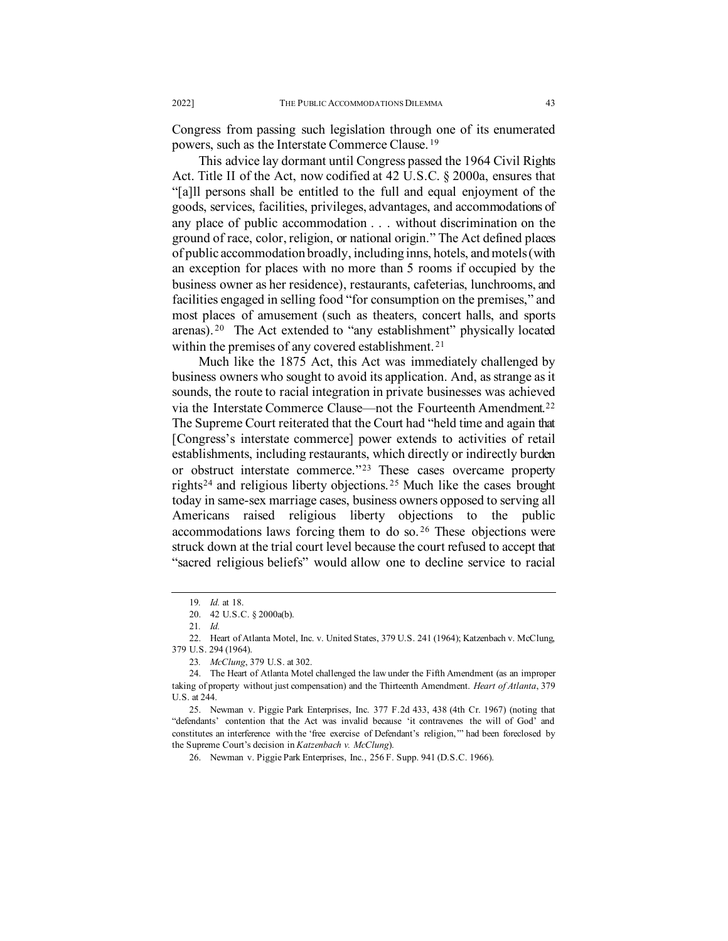Congress from passing such legislation through one of its enumerated powers, such as the Interstate Commerce Clause. [19](#page-4-0)

This advice lay dormant until Congress passed the 1964 Civil Rights Act. Title II of the Act, now codified at 42 U.S.C. § 2000a, ensures that "[a]ll persons shall be entitled to the full and equal enjoyment of the goods, services, facilities, privileges, advantages, and accommodations of any place of public accommodation . . . without discrimination on the ground of race, color, religion, or national origin." The Act defined places of public accommodation broadly, including inns, hotels, and motels (with an exception for places with no more than 5 rooms if occupied by the business owner as her residence), restaurants, cafeterias, lunchrooms, and facilities engaged in selling food "for consumption on the premises," and most places of amusement (such as theaters, concert halls, and sports arenas).<sup>20</sup> The Act extended to "any establishment" physically located within the premises of any covered establishment.<sup>[21](#page-4-2)</sup>

Much like the 1875 Act, this Act was immediately challenged by business owners who sought to avoid its application. And, as strange as it sounds, the route to racial integration in private businesses was achieved via the Interstate Commerce Clause—not the Fourteenth Amendment.[22](#page-4-3) The Supreme Court reiterated that the Court had "held time and again that [Congress's interstate commerce] power extends to activities of retail establishments, including restaurants, which directly or indirectly burden or obstruct interstate commerce."[23](#page-4-4) These cases overcame property rights<sup>[24](#page-4-5)</sup> and religious liberty objections.<sup>[25](#page-4-6)</sup> Much like the cases brought today in same-sex marriage cases, business owners opposed to serving all Americans raised religious liberty objections to the public accommodations laws forcing them to do so. [26](#page-4-7) These objections were struck down at the trial court level because the court refused to accept that "sacred religious beliefs" would allow one to decline service to racial

<sup>19</sup>*. Id.* at 18.

<sup>20.</sup> 42 U.S.C. § 2000a(b).

<sup>21</sup>*. Id.*

<span id="page-4-3"></span><span id="page-4-2"></span><span id="page-4-1"></span><span id="page-4-0"></span><sup>22.</sup> Heart of Atlanta Motel, Inc. v. United States, 379 U.S. 241 (1964); Katzenbach v. McClung, 379 U.S. 294 (1964).

<sup>23</sup>*. McClung*, 379 U.S. at 302.

<span id="page-4-5"></span><span id="page-4-4"></span><sup>24.</sup> The Heart of Atlanta Motel challenged the law under the Fifth Amendment (as an improper taking of property without just compensation) and the Thirteenth Amendment. *Heart of Atlanta*, 379 U.S. at 244.

<span id="page-4-7"></span><span id="page-4-6"></span><sup>25.</sup> Newman v. Piggie Park Enterprises, Inc. 377 F.2d 433, 438 (4th Cr. 1967) (noting that "defendants' contention that the Act was invalid because 'it contravenes the will of God' and constitutes an interference with the 'free exercise of Defendant's religion,'" had been foreclosed by the Supreme Court's decision in *Katzenbach v. McClung*).

<sup>26.</sup> Newman v. Piggie Park Enterprises, Inc., 256 F. Supp. 941 (D.S.C. 1966).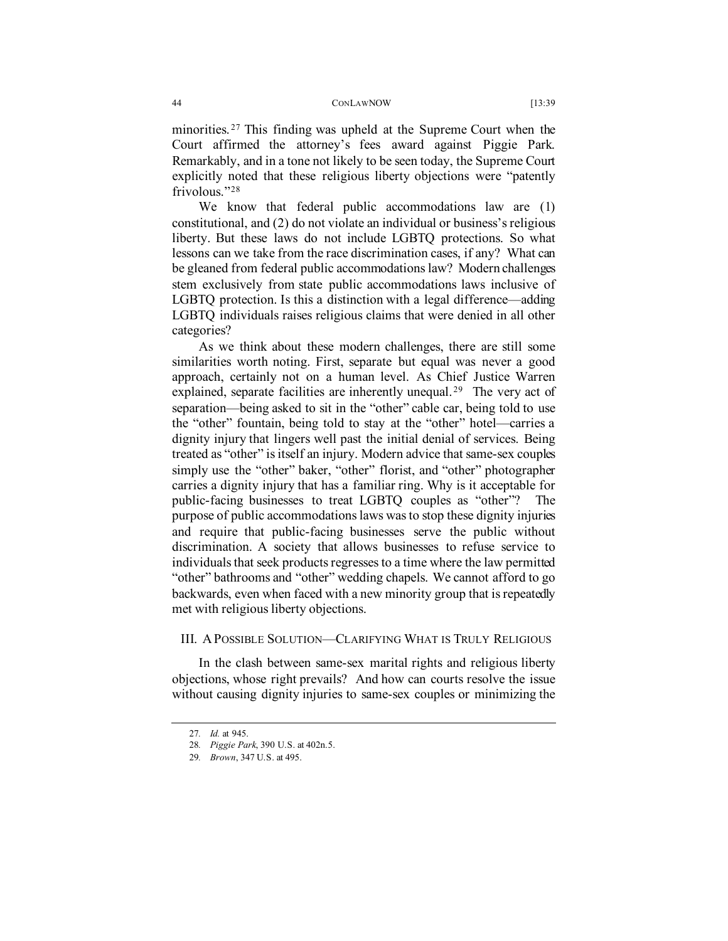minorities.<sup>[27](#page-5-0)</sup> This finding was upheld at the Supreme Court when the Court affirmed the attorney's fees award against Piggie Park. Remarkably, and in a tone not likely to be seen today, the Supreme Court explicitly noted that these religious liberty objections were "patently frivolous."<sup>[28](#page-5-1)</sup>

We know that federal public accommodations law are (1) constitutional, and (2) do not violate an individual or business's religious liberty. But these laws do not include LGBTQ protections. So what lessons can we take from the race discrimination cases, if any? What can be gleaned from federal public accommodations law? Modern challenges stem exclusively from state public accommodations laws inclusive of LGBTQ protection. Is this a distinction with a legal difference—adding LGBTQ individuals raises religious claims that were denied in all other categories?

As we think about these modern challenges, there are still some similarities worth noting. First, separate but equal was never a good approach, certainly not on a human level. As Chief Justice Warren explained, separate facilities are inherently unequal.<sup>29</sup> The very act of separation—being asked to sit in the "other" cable car, being told to use the "other" fountain, being told to stay at the "other" hotel—carries a dignity injury that lingers well past the initial denial of services. Being treated as "other" is itself an injury. Modern advice that same-sex couples simply use the "other" baker, "other" florist, and "other" photographer carries a dignity injury that has a familiar ring. Why is it acceptable for public-facing businesses to treat LGBTQ couples as "other"? The purpose of public accommodations laws was to stop these dignity injuries and require that public-facing businesses serve the public without discrimination. A society that allows businesses to refuse service to individuals that seek products regresses to a time where the law permitted "other" bathrooms and "other" wedding chapels. We cannot afford to go backwards, even when faced with a new minority group that is repeatedly met with religious liberty objections.

### III. APOSSIBLE SOLUTION—CLARIFYING WHAT IS TRULY RELIGIOUS

<span id="page-5-0"></span>In the clash between same-sex marital rights and religious liberty objections, whose right prevails? And how can courts resolve the issue without causing dignity injuries to same-sex couples or minimizing the

<sup>27</sup>*. Id.* at 945.

<span id="page-5-1"></span><sup>28</sup>*. Piggie Park*, 390 U.S. at 402n.5.

<span id="page-5-2"></span><sup>29</sup>*. Brown*, 347 U.S. at 495.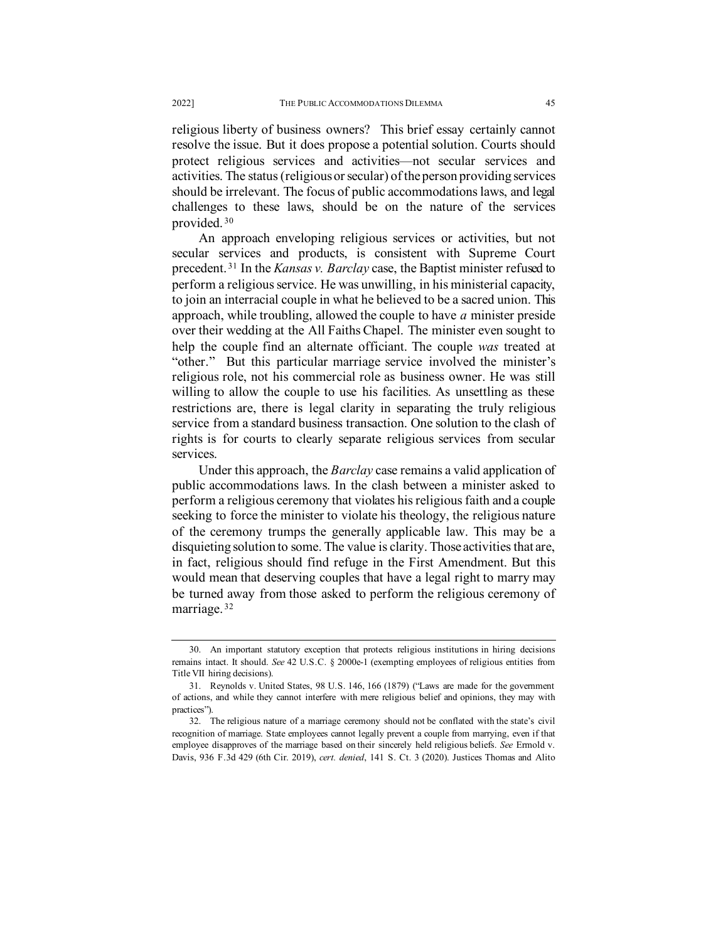religious liberty of business owners? This brief essay certainly cannot resolve the issue. But it does propose a potential solution. Courts should protect religious services and activities—not secular services and activities. The status (religious or secular) of the person providing services should be irrelevant. The focus of public accommodations laws, and legal challenges to these laws, should be on the nature of the services provided. [30](#page-6-0) 

An approach enveloping religious services or activities, but not secular services and products, is consistent with Supreme Court precedent. [31](#page-6-1) In the *Kansas v. Barclay* case, the Baptist minister refused to perform a religious service. He was unwilling, in his ministerial capacity, to join an interracial couple in what he believed to be a sacred union. This approach, while troubling, allowed the couple to have *a* minister preside over their wedding at the All Faiths Chapel. The minister even sought to help the couple find an alternate officiant. The couple *was* treated at "other." But this particular marriage service involved the minister's religious role, not his commercial role as business owner. He was still willing to allow the couple to use his facilities. As unsettling as these restrictions are, there is legal clarity in separating the truly religious service from a standard business transaction. One solution to the clash of rights is for courts to clearly separate religious services from secular services.

Under this approach, the *Barclay* case remains a valid application of public accommodations laws. In the clash between a minister asked to perform a religious ceremony that violates his religious faith and a couple seeking to force the minister to violate his theology, the religious nature of the ceremony trumps the generally applicable law. This may be a disquieting solution to some. The value is clarity. Those activities that are, in fact, religious should find refuge in the First Amendment. But this would mean that deserving couples that have a legal right to marry may be turned away from those asked to perform the religious ceremony of marriage.<sup>[32](#page-6-2)</sup>

<span id="page-6-0"></span><sup>30.</sup> An important statutory exception that protects religious institutions in hiring decisions remains intact. It should. *See* 42 U.S.C. § 2000e-1 (exempting employees of religious entities from Title VII hiring decisions).

<span id="page-6-1"></span><sup>31.</sup> Reynolds v. United States, 98 U.S. 146, 166 (1879) ("Laws are made for the government of actions, and while they cannot interfere with mere religious belief and opinions, they may with practices").

<span id="page-6-2"></span><sup>32.</sup> The religious nature of a marriage ceremony should not be conflated with the state's civil recognition of marriage. State employees cannot legally prevent a couple from marrying, even if that employee disapproves of the marriage based on their sincerely held religious beliefs. *See* Ermold v. Davis, 936 F.3d 429 (6th Cir. 2019), *cert. denied*, 141 S. Ct. 3 (2020). Justices Thomas and Alito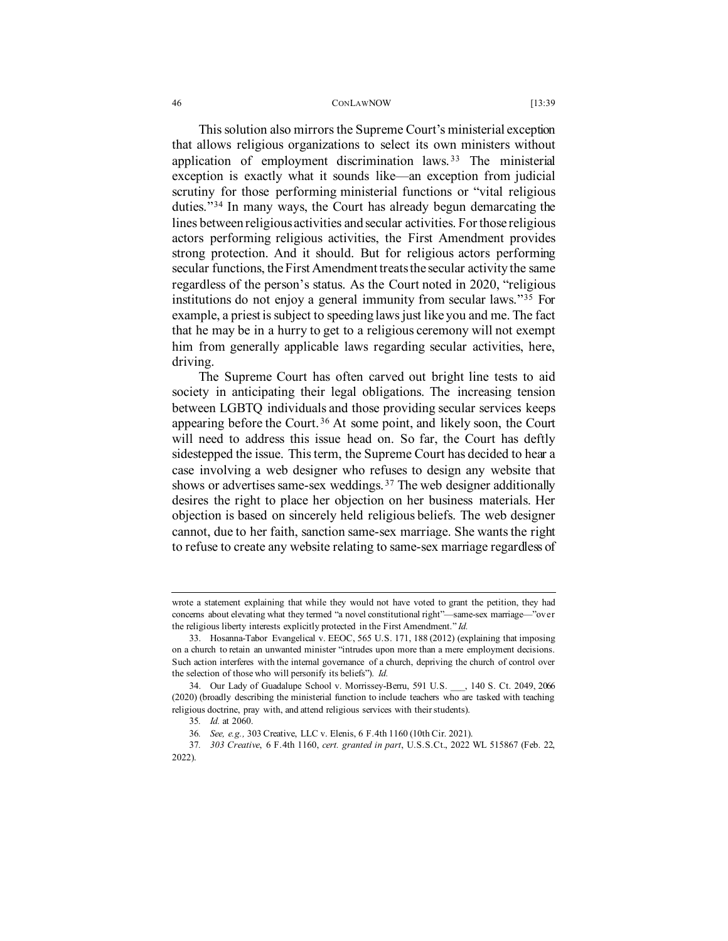This solution also mirrors the Supreme Court's ministerial exception that allows religious organizations to select its own ministers without application of employment discrimination laws. [33](#page-7-0) The ministerial exception is exactly what it sounds like—an exception from judicial scrutiny for those performing ministerial functions or "vital religious duties."[34](#page-7-1) In many ways, the Court has already begun demarcating the lines between religious activities and secular activities. For those religious actors performing religious activities, the First Amendment provides strong protection. And it should. But for religious actors performing secular functions, the First Amendment treats the secular activity the same regardless of the person's status. As the Court noted in 2020, "religious institutions do not enjoy a general immunity from secular laws."[35](#page-7-2) For example, a priest is subject to speeding laws just like you and me. The fact that he may be in a hurry to get to a religious ceremony will not exempt him from generally applicable laws regarding secular activities, here, driving.

The Supreme Court has often carved out bright line tests to aid society in anticipating their legal obligations. The increasing tension between LGBTQ individuals and those providing secular services keeps appearing before the Court.<sup>[36](#page-7-3)</sup> At some point, and likely soon, the Court will need to address this issue head on. So far, the Court has deftly sidestepped the issue. This term, the Supreme Court has decided to hear a case involving a web designer who refuses to design any website that shows or advertises same-sex weddings. [37](#page-7-4) The web designer additionally desires the right to place her objection on her business materials. Her objection is based on sincerely held religious beliefs. The web designer cannot, due to her faith, sanction same-sex marriage. She wants the right to refuse to create any website relating to same-sex marriage regardless of

wrote a statement explaining that while they would not have voted to grant the petition, they had concerns about elevating what they termed "a novel constitutional right"—same-sex marriage—"over the religious liberty interests explicitly protected in the First Amendment." *Id.*

<span id="page-7-0"></span><sup>33.</sup> Hosanna-Tabor Evangelical v. EEOC, 565 U.S. 171, 188 (2012) (explaining that imposing on a church to retain an unwanted minister "intrudes upon more than a mere employment decisions. Such action interferes with the internal governance of a church, depriving the church of control over the selection of those who will personify its beliefs"). *Id.*

<span id="page-7-1"></span><sup>34.</sup> Our Lady of Guadalupe School v. Morrissey-Berru, 591 U.S. , 140 S. Ct. 2049, 2066 (2020) (broadly describing the ministerial function to include teachers who are tasked with teaching religious doctrine, pray with, and attend religious services with their students).

<sup>35</sup>*. Id.* at 2060.

<sup>36</sup>*. See, e.g.,* 303 Creative, LLC v. Elenis, 6 F.4th 1160 (10th Cir. 2021).

<span id="page-7-4"></span><span id="page-7-3"></span><span id="page-7-2"></span><sup>37</sup>*. 303 Creative*, 6 F.4th 1160, *cert. granted in part*, U.S.S.Ct., 2022 WL 515867 (Feb. 22, 2022).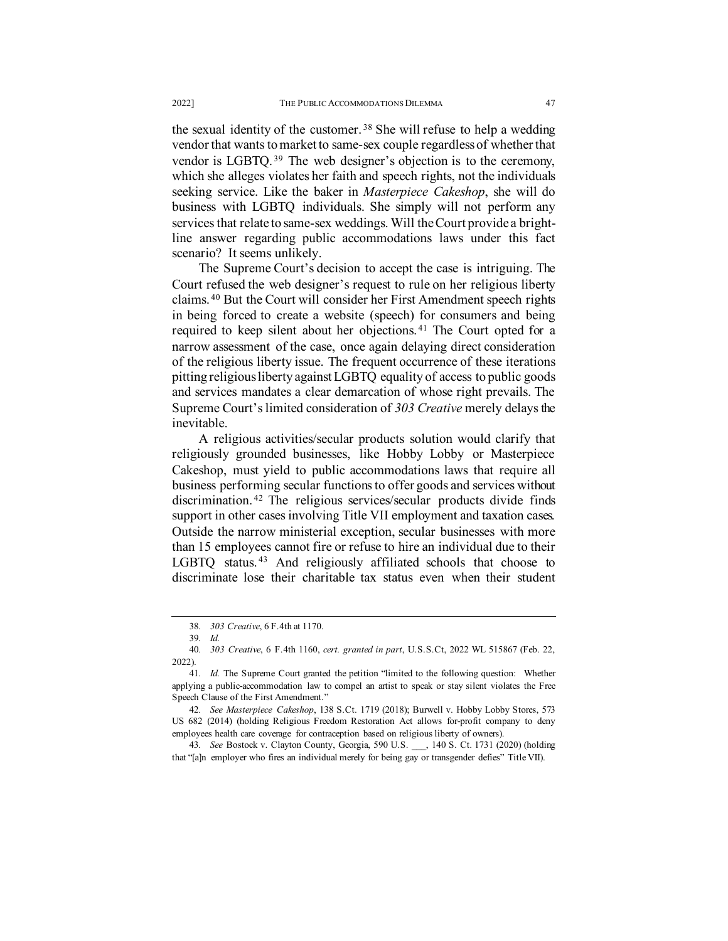the sexual identity of the customer. [38](#page-8-0) She will refuse to help a wedding vendor that wants to market to same-sex couple regardless of whether that vendor is LGBTQ. [39](#page-8-1) The web designer's objection is to the ceremony, which she alleges violates her faith and speech rights, not the individuals seeking service. Like the baker in *Masterpiece Cakeshop*, she will do business with LGBTQ individuals. She simply will not perform any services that relate to same-sex weddings. Will the Court provide a brightline answer regarding public accommodations laws under this fact scenario? It seems unlikely.

The Supreme Court's decision to accept the case is intriguing. The Court refused the web designer's request to rule on her religious liberty claims. [40](#page-8-2) But the Court will consider her First Amendment speech rights in being forced to create a website (speech) for consumers and being required to keep silent about her objections.<sup>[41](#page-8-3)</sup> The Court opted for a narrow assessment of the case, once again delaying direct consideration of the religious liberty issue. The frequent occurrence of these iterations pitting religious liberty against LGBTQ equality of access to public goods and services mandates a clear demarcation of whose right prevails. The Supreme Court's limited consideration of *303 Creative* merely delays the inevitable.

A religious activities/secular products solution would clarify that religiously grounded businesses, like Hobby Lobby or Masterpiece Cakeshop, must yield to public accommodations laws that require all business performing secular functions to offer goods and services without discrimination. [42](#page-8-4) The religious services/secular products divide finds support in other cases involving Title VII employment and taxation cases. Outside the narrow ministerial exception, secular businesses with more than 15 employees cannot fire or refuse to hire an individual due to their LGBTQ status. [43](#page-8-5) And religiously affiliated schools that choose to discriminate lose their charitable tax status even when their student

<span id="page-8-5"></span>43*. See* Bostock v. Clayton County, Georgia, 590 U.S. \_\_\_, 140 S. Ct. 1731 (2020) (holding that "[a]n employer who fires an individual merely for being gay or transgender defies" Title VII).

<sup>38</sup>*. 303 Creative*, 6 F.4th at 1170.

<sup>39</sup>*. Id.*

<span id="page-8-2"></span><span id="page-8-1"></span><span id="page-8-0"></span><sup>40</sup>*. 303 Creative*, 6 F.4th 1160, *cert. granted in part*, U.S.S.Ct, 2022 WL 515867 (Feb. 22, 2022).

<span id="page-8-3"></span><sup>41</sup>*. Id.* The Supreme Court granted the petition "limited to the following question: Whether applying a public-accommodation law to compel an artist to speak or stay silent violates the Free Speech Clause of the First Amendment."

<span id="page-8-4"></span><sup>42</sup>*. See Masterpiece Cakeshop*, 138 S.Ct. 1719 (2018); Burwell v. Hobby Lobby Stores, 573 US 682 (2014) (holding Religious Freedom Restoration Act allows for-profit company to deny employees health care coverage for contraception based on religious liberty of owners).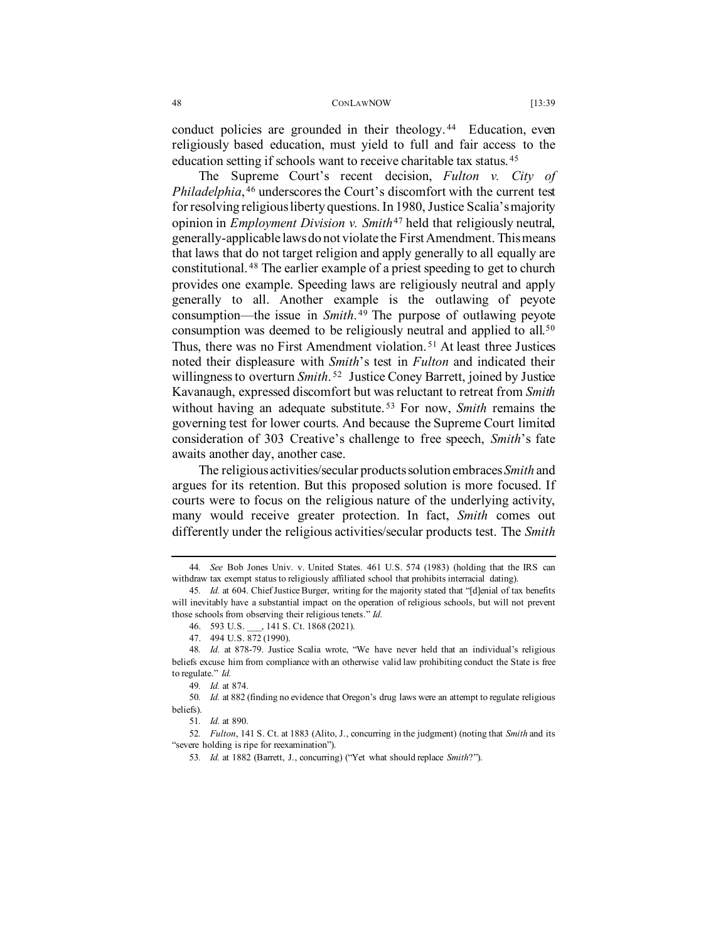conduct policies are grounded in their theology.<sup>[44](#page-9-0)</sup> Education, even religiously based education, must yield to full and fair access to the education setting if schools want to receive charitable tax status. [45](#page-9-1) 

The Supreme Court's recent decision, *Fulton v. City of Philadelphia*, [46](#page-9-2) underscores the Court's discomfort with the current test for resolving religious liberty questions. In 1980, Justice Scalia's majority opinion in *Employment Division v. Smith*[47](#page-9-3) held that religiously neutral, generally-applicable laws do not violate the First Amendment. This means that laws that do not target religion and apply generally to all equally are constitutional. [48](#page-9-4) The earlier example of a priest speeding to get to church provides one example. Speeding laws are religiously neutral and apply generally to all. Another example is the outlawing of peyote consumption—the issue in *Smith*. [49](#page-9-5) The purpose of outlawing peyote consumption was deemed to be religiously neutral and applied to all.<sup>[50](#page-9-6)</sup> Thus, there was no First Amendment violation. [51](#page-9-7) At least three Justices noted their displeasure with *Smith*'s test in *Fulton* and indicated their willingness to overturn *Smith*. [52](#page-9-8) Justice Coney Barrett, joined by Justice Kavanaugh, expressed discomfort but was reluctant to retreat from *Smith* without having an adequate substitute. [53](#page-9-9) For now, *Smith* remains the governing test for lower courts. And because the Supreme Court limited consideration of 303 Creative's challenge to free speech, *Smith*'s fate awaits another day, another case.

The religious activities/secular products solution embraces *Smith* and argues for its retention. But this proposed solution is more focused. If courts were to focus on the religious nature of the underlying activity, many would receive greater protection. In fact, *Smith* comes out differently under the religious activities/secular products test. The *Smith* 

<span id="page-9-0"></span><sup>44</sup>*. See* Bob Jones Univ. v. United States. 461 U.S. 574 (1983) (holding that the IRS can withdraw tax exempt status to religiously affiliated school that prohibits interracial dating).

<span id="page-9-1"></span><sup>45</sup>*. Id.* at 604. Chief Justice Burger, writing for the majority stated that "[d]enial of tax benefits will inevitably have a substantial impact on the operation of religious schools, but will not prevent those schools from observing their religious tenets." *Id.*

<sup>46.</sup> 593 U.S. \_\_\_, 141 S. Ct. 1868 (2021).

<sup>47.</sup> 494 U.S. 872 (1990).

<span id="page-9-4"></span><span id="page-9-3"></span><span id="page-9-2"></span><sup>48</sup>*. Id.* at 878-79. Justice Scalia wrote, "We have never held that an individual's religious beliefs excuse him from compliance with an otherwise valid law prohibiting conduct the State is free to regulate." *Id.*

<sup>49</sup>*. Id.* at 874.

<span id="page-9-7"></span><span id="page-9-6"></span><span id="page-9-5"></span><sup>50</sup>*. Id.* at 882 (finding no evidence that Oregon's drug laws were an attempt to regulate religious beliefs).

<sup>51</sup>*. Id.* at 890.

<span id="page-9-9"></span><span id="page-9-8"></span><sup>52</sup>*. Fulton*, 141 S. Ct. at 1883 (Alito, J., concurring in the judgment) (noting that *Smith* and its "severe holding is ripe for reexamination").

<sup>53</sup>*. Id.* at 1882 (Barrett, J., concurring) ("Yet what should replace *Smith*?").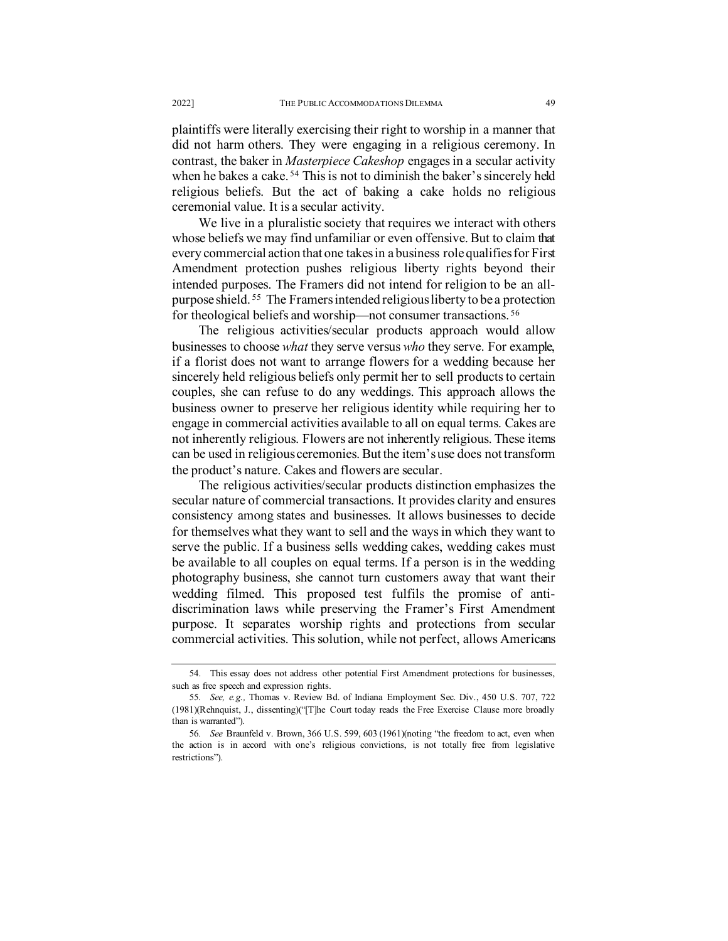plaintiffs were literally exercising their right to worship in a manner that did not harm others. They were engaging in a religious ceremony. In contrast, the baker in *Masterpiece Cakeshop* engages in a secular activity when he bakes a cake.<sup>[54](#page-10-0)</sup> This is not to diminish the baker's sincerely held religious beliefs. But the act of baking a cake holds no religious ceremonial value. It is a secular activity.

We live in a pluralistic society that requires we interact with others whose beliefs we may find unfamiliar or even offensive. But to claim that every commercial action that one takes in a business role qualifies for First Amendment protection pushes religious liberty rights beyond their intended purposes. The Framers did not intend for religion to be an allpurpose shield. [55](#page-10-1) The Framers intended religious liberty to be a protection for theological beliefs and worship—not consumer transactions. [56](#page-10-2) 

The religious activities/secular products approach would allow businesses to choose *what* they serve versus *who* they serve. For example, if a florist does not want to arrange flowers for a wedding because her sincerely held religious beliefs only permit her to sell products to certain couples, she can refuse to do any weddings. This approach allows the business owner to preserve her religious identity while requiring her to engage in commercial activities available to all on equal terms. Cakes are not inherently religious. Flowers are not inherently religious. These items can be used in religious ceremonies. But the item's use does not transform the product's nature. Cakes and flowers are secular.

The religious activities/secular products distinction emphasizes the secular nature of commercial transactions. It provides clarity and ensures consistency among states and businesses. It allows businesses to decide for themselves what they want to sell and the ways in which they want to serve the public. If a business sells wedding cakes, wedding cakes must be available to all couples on equal terms. If a person is in the wedding photography business, she cannot turn customers away that want their wedding filmed. This proposed test fulfils the promise of antidiscrimination laws while preserving the Framer's First Amendment purpose. It separates worship rights and protections from secular commercial activities. This solution, while not perfect, allows Americans

<span id="page-10-0"></span><sup>54.</sup> This essay does not address other potential First Amendment protections for businesses, such as free speech and expression rights.

<span id="page-10-1"></span><sup>55</sup>*. See, e.g.,* Thomas v. Review Bd. of Indiana Employment Sec. Div., 450 U.S. 707, 722 (1981)(Rehnquist, J., dissenting)("[T]he Court today reads the Free Exercise Clause more broadly than is warranted").

<span id="page-10-2"></span><sup>56</sup>*. See* Braunfeld v. Brown, 366 U.S. 599, 603 (1961)(noting "the freedom to act, even when the action is in accord with one's religious convictions, is not totally free from legislative restrictions").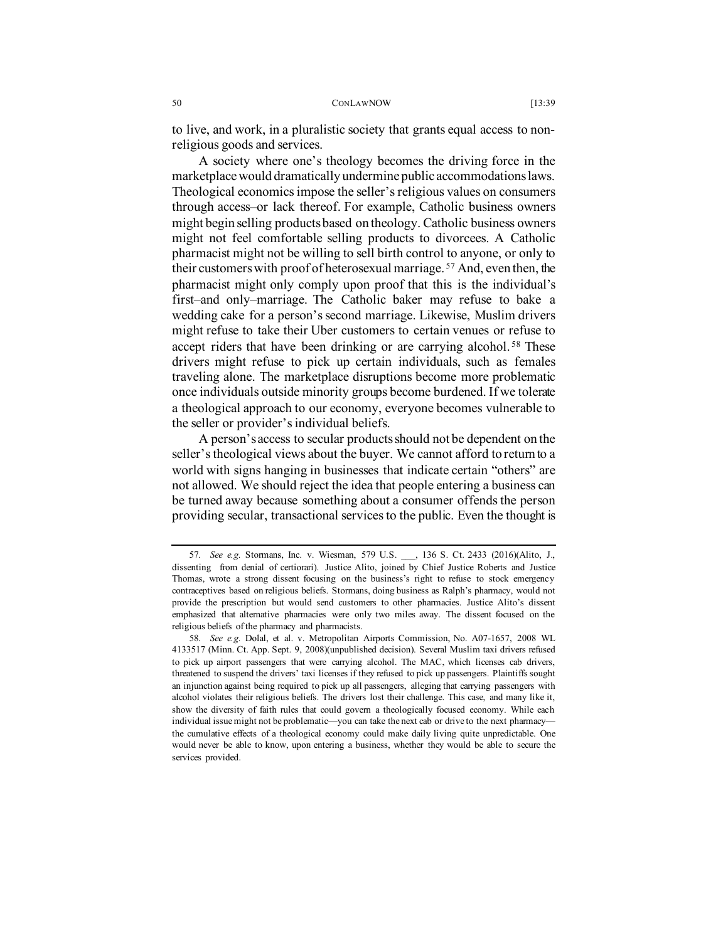to live, and work, in a pluralistic society that grants equal access to nonreligious goods and services.

A society where one's theology becomes the driving force in the marketplace would dramatically undermine public accommodations laws. Theological economics impose the seller's religious values on consumers through access–or lack thereof. For example, Catholic business owners might begin selling products based on theology. Catholic business owners might not feel comfortable selling products to divorcees. A Catholic pharmacist might not be willing to sell birth control to anyone, or only to their customers with proof of heterosexual marriage. [57](#page-11-0) And, even then, the pharmacist might only comply upon proof that this is the individual's first–and only–marriage. The Catholic baker may refuse to bake a wedding cake for a person's second marriage. Likewise, Muslim drivers might refuse to take their Uber customers to certain venues or refuse to accept riders that have been drinking or are carrying alcohol.<sup>[58](#page-11-1)</sup> These drivers might refuse to pick up certain individuals, such as females traveling alone. The marketplace disruptions become more problematic once individuals outside minority groups become burdened. If we tolerate a theological approach to our economy, everyone becomes vulnerable to the seller or provider's individual beliefs.

A person's access to secular products should not be dependent on the seller's theological views about the buyer. We cannot afford to return to a world with signs hanging in businesses that indicate certain "others" are not allowed. We should reject the idea that people entering a business can be turned away because something about a consumer offends the person providing secular, transactional services to the public. Even the thought is

<span id="page-11-0"></span><sup>57</sup>*. See e.g.* Stormans, Inc. v. Wiesman, 579 U.S. \_\_\_, 136 S. Ct. 2433 (2016)(Alito, J., dissenting from denial of certiorari). Justice Alito, joined by Chief Justice Roberts and Justice Thomas, wrote a strong dissent focusing on the business's right to refuse to stock emergency contraceptives based on religious beliefs. Stormans, doing business as Ralph's pharmacy, would not provide the prescription but would send customers to other pharmacies. Justice Alito's dissent emphasized that alternative pharmacies were only two miles away. The dissent focused on the religious beliefs of the pharmacy and pharmacists.

<span id="page-11-1"></span><sup>58</sup>*. See e.g.* Dolal, et al. v. Metropolitan Airports Commission, No. A07-1657, 2008 WL 4133517 (Minn. Ct. App. Sept. 9, 2008)(unpublished decision). Several Muslim taxi drivers refused to pick up airport passengers that were carrying alcohol. The MAC, which licenses cab drivers, threatened to suspend the drivers' taxi licenses if they refused to pick up passengers. Plaintiffs sought an injunction against being required to pick up all passengers, alleging that carrying passengers with alcohol violates their religious beliefs. The drivers lost their challenge. This case, and many like it, show the diversity of faith rules that could govern a theologically focused economy. While each individual issue might not be problematic—you can take the next cab or drive to the next pharmacy the cumulative effects of a theological economy could make daily living quite unpredictable. One would never be able to know, upon entering a business, whether they would be able to secure the services provided.